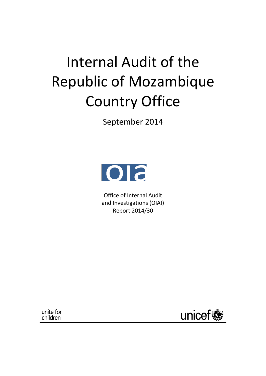# Internal Audit of the Republic of Mozambique Country Office

September 2014



Office of Internal Audit and Investigations (OIAI) Report 2014/30

unite for children

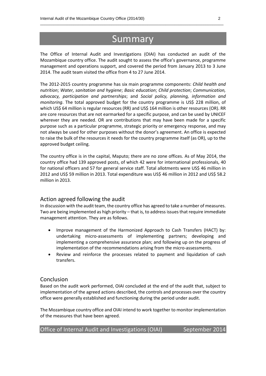# Summary

\_\_\_\_\_\_\_\_\_\_\_\_\_\_\_\_\_\_\_\_\_\_\_\_\_\_\_\_\_\_\_\_\_\_\_\_\_\_\_\_\_\_\_\_\_\_\_\_\_\_\_\_\_\_\_\_\_\_\_\_\_\_\_\_\_\_\_\_\_\_\_\_\_\_\_\_\_\_\_\_\_\_

The Office of Internal Audit and Investigations (OIAI) has conducted an audit of the Mozambique country office. The audit sought to assess the office's governance, programme management and operations support, and covered the period from January 2013 to 3 June 2014. The audit team visited the office from 4 to 27 June 2014.

The 2012-2015 country programme has six main programme components: *Child health and nutrition*; *Water, sanitation and hygiene*; *Basic education*; *Child protection*; *Communication, advocacy, participation and partnerships*; and *Social policy, planning, information and monitoring*. The total approved budget for the country programme is US\$ 228 million, of which US\$ 64 million is regular resources (RR) and US\$ 164 million is other resources (OR). RR are core resources that are not earmarked for a specific purpose, and can be used by UNICEF wherever they are needed. OR are contributions that may have been made for a specific purpose such as a particular programme, strategic priority or emergency response, and may not always be used for other purposes without the donor's agreement. An office is expected to raise the bulk of the resources it needs for the country programme itself (as OR), up to the approved budget ceiling.

The country office is in the capital, Maputo; there are no zone offices. As of May 2014, the country office had 139 approved posts, of which 42 were for international professionals, 40 for national officers and 57 for general service staff. Total allotments were US\$ 46 million in 2012 and US\$ 59 million in 2013. Total expenditure was US\$ 46 million in 2012 and US\$ 58.2 million in 2013.

#### Action agreed following the audit

In discussion with the audit team, the country office has agreed to take a number of measures. Two are being implemented as high priority – that is, to address issues that require immediate management attention. They are as follows.

- Improve management of the Harmonized Approach to Cash Transfers (HACT) by: undertaking micro-assessments of implementing partners; developing and implementing a comprehensive assurance plan; and following up on the progress of implementation of the recommendations arising from the micro-assessments.
- Review and reinforce the processes related to payment and liquidation of cash transfers.

#### Conclusion

Based on the audit work performed, OIAI concluded at the end of the audit that, subject to implementation of the agreed actions described, the controls and processes over the country office were generally established and functioning during the period under audit.

The Mozambique country office and OIAI intend to work together to monitor implementation of the measures that have been agreed.

| Office of Internal Audit and Investigations (OIAI) |  |  | September 2014 |
|----------------------------------------------------|--|--|----------------|
|----------------------------------------------------|--|--|----------------|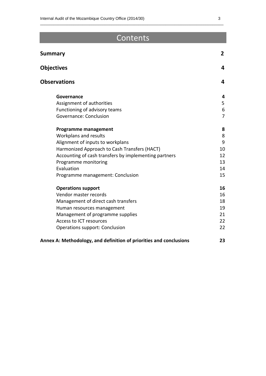# Contents

| <b>Summary</b>                                                     |                |
|--------------------------------------------------------------------|----------------|
| <b>Objectives</b>                                                  | 4              |
| <b>Observations</b>                                                | 4              |
| Governance                                                         | 4              |
| Assignment of authorities                                          | 5              |
| Functioning of advisory teams                                      | 6              |
| Governance: Conclusion                                             | $\overline{7}$ |
| <b>Programme management</b>                                        | 8              |
| Workplans and results                                              | 8              |
| Alignment of inputs to workplans                                   | 9              |
| Harmonized Approach to Cash Transfers (HACT)                       | 10             |
| Accounting of cash transfers by implementing partners              | 12             |
| Programme monitoring                                               | 13             |
| Evaluation                                                         | 14             |
| Programme management: Conclusion                                   | 15             |
| <b>Operations support</b>                                          | 16             |
| Vendor master records                                              | 16             |
| Management of direct cash transfers                                | 18             |
| Human resources management                                         | 19             |
| Management of programme supplies                                   | 21             |
| Access to ICT resources                                            | 22             |
| Operations support: Conclusion                                     | 22             |
| Annex A: Methodology, and definition of priorities and conclusions | 23             |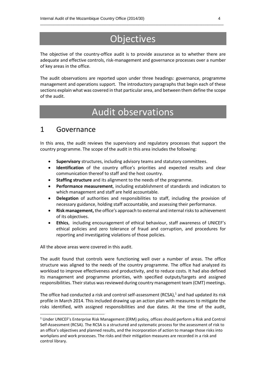# **Objectives**

\_\_\_\_\_\_\_\_\_\_\_\_\_\_\_\_\_\_\_\_\_\_\_\_\_\_\_\_\_\_\_\_\_\_\_\_\_\_\_\_\_\_\_\_\_\_\_\_\_\_\_\_\_\_\_\_\_\_\_\_\_\_\_\_\_\_\_\_\_\_\_\_\_\_\_\_\_\_\_\_\_\_

The objective of the country-office audit is to provide assurance as to whether there are adequate and effective controls, risk-management and governance processes over a number of key areas in the office.

The audit observations are reported upon under three headings: governance, programme management and operations support. The introductory paragraphs that begin each of these sections explain what was covered in that particular area, and between them define the scope of the audit.

# Audit observations

### 1 Governance

In this area, the audit reviews the supervisory and regulatory processes that support the country programme. The scope of the audit in this area includes the following:

- **Supervisory** structures, including advisory teams and statutory committees.
- **Identification** of the country office's priorities and expected results and clear communication thereof to staff and the host country.
- **Staffing structure** and its alignment to the needs of the programme.
- **Performance measurement**, including establishment of standards and indicators to which management and staff are held accountable.
- **Delegation** of authorities and responsibilities to staff, including the provision of necessary guidance, holding staff accountable, and assessing their performance.
- **Risk management,** the office's approach to external and internal risks to achievement of its objectives.
- **Ethics**, including encouragement of ethical behaviour, staff awareness of UNICEF's ethical policies and zero tolerance of fraud and corruption, and procedures for reporting and investigating violations of those policies.

All the above areas were covered in this audit.

 $\overline{a}$ 

The audit found that controls were functioning well over a number of areas. The office structure was aligned to the needs of the country programme. The office had analyzed its workload to improve effectiveness and productivity, and to reduce costs. It had also defined its management and programme priorities, with specified outputs/targets and assigned responsibilities. Their status was reviewed during country management team (CMT) meetings.

The office had conducted a risk and control self-assessment (RCSA),<sup>1</sup> and had updated its risk profile in March 2014. This included drawing up an action plan with measures to mitigate the risks identified, with assigned responsibilities and due dates. At the time of the audit,

<sup>1</sup> Under UNICEF's Enterprise Risk Management (ERM) policy, offices should perform a Risk and Control Self-Assessment (RCSA). The RCSA is a structured and systematic process for the assessment of risk to an office's objectives and planned results, and the incorporation of action to manage those risks into workplans and work processes. The risks and their mitigation measures are recorded in a risk and control library.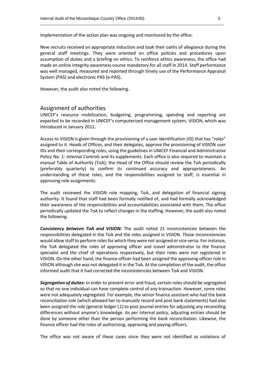implementation of the action plan was ongoing and monitored by the office.

New recruits received an appropriate induction and took their oaths of allegiance during the general staff meetings. They were oriented on office policies and procedures upon assumption of duties and a briefing on ethics. To reinforce ethics awareness, the office had made an online integrity awareness course mandatory for all staff in 2014. Staff performance was well managed, measured and reported through timely use of the Performance Appraisal System (PAS) and electronic PAS (e-PAS).

\_\_\_\_\_\_\_\_\_\_\_\_\_\_\_\_\_\_\_\_\_\_\_\_\_\_\_\_\_\_\_\_\_\_\_\_\_\_\_\_\_\_\_\_\_\_\_\_\_\_\_\_\_\_\_\_\_\_\_\_\_\_\_\_\_\_\_\_\_\_\_\_\_\_\_\_\_\_\_\_\_\_

However, the audit also noted the following.

#### Assignment of authorities

UNICEF's resource mobilization, budgeting, programming, spending and reporting are expected to be recorded in UNICEF's computerized management system, VISION, which was introduced in January 2012.

Access to VISION is given through the provisioning of a user identification (ID) that has "roles" assigned to it. Heads of Offices, and their delegates, approve the provisioning of VISION user IDs and their corresponding roles, using the guidelines in UNICEF Financial and Administrative Policy No. 1: *Internal Controls* and its supplements. Each office is also required to maintain a manual Table of Authority (ToA); the Head of the Office should review the ToA periodically (preferably quarterly) to confirm its continued accuracy and appropriateness. An understanding of these roles, and the responsibilities assigned to staff, is essential in approving role assignments.

The audit reviewed the VISION role mapping, ToA, and delegation of financial signing authority. It found that staff had been formally notified of, and had formally acknowledged their awareness of the responsibilities and accountabilities associated with them. The office periodically updated the ToA to reflect changes in the staffing. However, the audit also noted the following.

*Consistency between ToA and VISION:* The audit noted 21 inconsistencies between the responsibilities delegated in the ToA and the roles assigned in VISION. These inconsistencies would allow staff to perform roles for which they were not assigned or vice versa. For instance, the ToA delegated the roles of approving officer and travel administrator to the finance specialist and the chief of operations respectively, but their roles were not registered in VISION. On the other hand, the finance officer had been assigned the approving officer role in VISION although she was not delegated it in the ToA. At the completion of the audit, the office informed audit that it had corrected the inconsistencies between ToA and VISION.

*Segregation of duties:* In order to prevent error and fraud, certain roles should be segregated so that no one individual can have complete control of any transaction. However, some roles were not adequately segregated. For example, the senior finance assistant who had the bank reconciliation role (which allowed her to manually record and post bank statements) had also been assigned the role (general ledger L1) to post journal entries for adjusting any reconciling differences without anyone's knowledge. As per internal policy, adjusting entries should be done by someone other than the person performing the bank reconciliation. Likewise, the finance officer had the roles of authorizing, approving and paying officers.

The office was not aware of these cases since they were not identified as violations of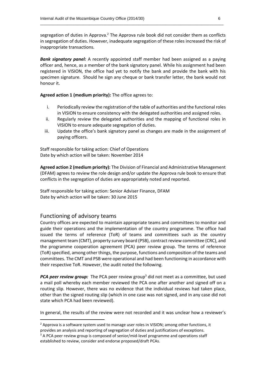segregation of duties in Approva.<sup>2</sup> The Approva rule book did not consider them as conflicts in segregation of duties. However, inadequate segregation of these roles increased the risk of inappropriate transactions.

\_\_\_\_\_\_\_\_\_\_\_\_\_\_\_\_\_\_\_\_\_\_\_\_\_\_\_\_\_\_\_\_\_\_\_\_\_\_\_\_\_\_\_\_\_\_\_\_\_\_\_\_\_\_\_\_\_\_\_\_\_\_\_\_\_\_\_\_\_\_\_\_\_\_\_\_\_\_\_\_\_\_

**Bank signatory panel:** A recently appointed staff member had been assigned as a paying officer and, hence, as a member of the bank signatory panel. While his assignment had been registered in VISION, the office had yet to notify the bank and provide the bank with his specimen signature. Should he sign any cheque or bank transfer letter, the bank would not honour it.

**Agreed action 1 (medium priority):** The office agrees to:

- i. Periodically review the registration of the table of authorities and the functional roles in VISION to ensure consistency with the delegated authorities and assigned roles.
- ii. Regularly review the delegated authorities and the mapping of functional roles in VISION to ensure adequate segregation of duties.
- iii. Update the office's bank signatory panel as changes are made in the assignment of paying officers.

Staff responsible for taking action: Chief of Operations Date by which action will be taken: November 2014

**Agreed action 2 (medium priority):** The Division of Financial and Administrative Management (DFAM) agrees to review the role design and/or update the Approva rule book to ensure that conflicts in the segregation of duties are appropriately noted and reported.

Staff responsible for taking action: Senior Adviser Finance, DFAM Date by which action will be taken: 30 June 2015

#### Functioning of advisory teams

**.** 

Country offices are expected to maintain appropriate teams and committees to monitor and guide their operations and the implementation of the country programme. The office had issued the terms of reference (ToR) of teams and committees such as the country management team (CMT), property survey board (PSB), contract review committee (CRC), and the programme cooperation agreement (PCA) peer review group. The terms of reference (ToR) specified, among other things, the purpose, functions and composition of the teams and committees. The CMT and PSB were operational and had been functioning in accordance with their respective ToR. However, the audit noted the following.

*PCA peer review group:* The PCA peer review group<sup>3</sup> did not meet as a committee, but used a mail poll whereby each member reviewed the PCA one after another and signed off on a routing slip. However, there was no evidence that the individual reviews had taken place, other than the signed routing slip (which in one case was not signed, and in any case did not state which PCA had been reviewed).

In general, the results of the review were not recorded and it was unclear how a reviewer's

 $<sup>2</sup>$  Approva is a software system used to manage user roles in VISION; among other functions, it</sup> provides an analysis and reporting of segregation of duties and justifications of exceptions.

 $3$  A PCA peer review group is composed of senior/mid-level programme and operations staff established to review, consider and endorse proposed/draft PCAs.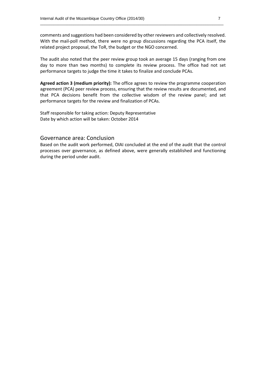comments and suggestions had been considered by other reviewers and collectively resolved. With the mail-poll method, there were no group discussions regarding the PCA itself, the related project proposal, the ToR, the budget or the NGO concerned.

\_\_\_\_\_\_\_\_\_\_\_\_\_\_\_\_\_\_\_\_\_\_\_\_\_\_\_\_\_\_\_\_\_\_\_\_\_\_\_\_\_\_\_\_\_\_\_\_\_\_\_\_\_\_\_\_\_\_\_\_\_\_\_\_\_\_\_\_\_\_\_\_\_\_\_\_\_\_\_\_\_\_

The audit also noted that the peer review group took an average 15 days (ranging from one day to more than two months) to complete its review process. The office had not set performance targets to judge the time it takes to finalize and conclude PCAs.

**Agreed action 3 (medium priority):** The office agrees to review the programme cooperation agreement (PCA) peer review process, ensuring that the review results are documented, and that PCA decisions benefit from the collective wisdom of the review panel; and set performance targets for the review and finalization of PCAs.

Staff responsible for taking action: Deputy Representative Date by which action will be taken: October 2014

#### Governance area: Conclusion

Based on the audit work performed, OIAI concluded at the end of the audit that the control processes over governance, as defined above, were generally established and functioning during the period under audit.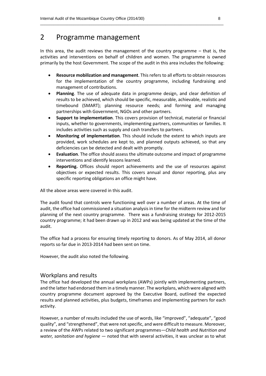### 2 Programme management

In this area, the audit reviews the management of the country programme – that is, the activities and interventions on behalf of children and women. The programme is owned primarily by the host Government. The scope of the audit in this area includes the following:

\_\_\_\_\_\_\_\_\_\_\_\_\_\_\_\_\_\_\_\_\_\_\_\_\_\_\_\_\_\_\_\_\_\_\_\_\_\_\_\_\_\_\_\_\_\_\_\_\_\_\_\_\_\_\_\_\_\_\_\_\_\_\_\_\_\_\_\_\_\_\_\_\_\_\_\_\_\_\_\_\_\_

- **Resource mobilization and management**. This refers to all efforts to obtain resources for the implementation of the country programme, including fundraising and management of contributions.
- **Planning**. The use of adequate data in programme design, and clear definition of results to be achieved, which should be specific, measurable, achievable, realistic and timebound (SMART); planning resource needs; and forming and managing partnerships with Government, NGOs and other partners.
- **Support to implementation**. This covers provision of technical, material or financial inputs, whether to governments, implementing partners, communities or families. It includes activities such as supply and cash transfers to partners.
- **Monitoring of implementation**. This should include the extent to which inputs are provided, work schedules are kept to, and planned outputs achieved, so that any deficiencies can be detected and dealt with promptly.
- **Evaluation**. The office should assess the ultimate outcome and impact of programme interventions and identify lessons learned.
- **Reporting.** Offices should report achievements and the use of resources against objectives or expected results. This covers annual and donor reporting, plus any specific reporting obligations an office might have.

All the above areas were covered in this audit.

The audit found that controls were functioning well over a number of areas. At the time of audit, the office had commissioned a situation analysis in time for the midterm review and for planning of the next country programme. There was a fundraising strategy for 2012-2015 country programme; it had been drawn up in 2012 and was being updated at the time of the audit.

The office had a process for ensuring timely reporting to donors. As of May 2014, all donor reports so far due in 2013-2014 had been sent on time.

However, the audit also noted the following.

#### Workplans and results

The office had developed the annual workplans (AWPs) jointly with implementing partners, and the latter had endorsed them in a timely manner. The workplans, which were aligned with country programme document approved by the Executive Board, outlined the expected results and planned activities, plus budgets, timeframes and implementing partners for each activity.

However, a number of results included the use of words, like "improved", "adequate", "good quality", and "strengthened", that were not specific, and were difficult to measure. Moreover, a review of the AWPs related to two significant programmes—*Child health* and *Nutrition and water, sanitation and hygiene* — noted that with several activities, it was unclear as to what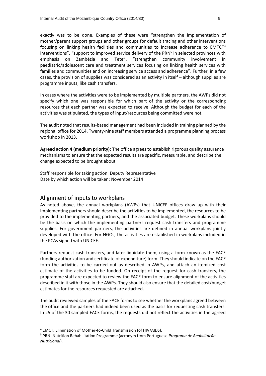exactly was to be done. Examples of these were "strengthen the implementation of mother/parent support groups and other groups for default tracing and other interventions focusing on linking health facilities and communities to increase adherence to EMTCT<sup>4</sup> interventions", "support to improved service delivery of the PRN<sup>5</sup> in selected provinces with emphasis on Zambézia and Tete", "strengthen community involvement in paediatric/adolescent care and treatment services focusing on linking health services with families and communities and on increasing service access and adherence". Further, in a few cases, the provision of supplies was considered as an activity in itself – although supplies are programme inputs, like cash transfers.

\_\_\_\_\_\_\_\_\_\_\_\_\_\_\_\_\_\_\_\_\_\_\_\_\_\_\_\_\_\_\_\_\_\_\_\_\_\_\_\_\_\_\_\_\_\_\_\_\_\_\_\_\_\_\_\_\_\_\_\_\_\_\_\_\_\_\_\_\_\_\_\_\_\_\_\_\_\_\_\_\_\_

In cases where the activities were to be implemented by multiple partners, the AWPs did not specify which one was responsible for which part of the activity or the corresponding resources that each partner was expected to receive. Although the budget for each of the activities was stipulated, the types of input/resources being committed were not.

The audit noted that results-based management had been included in training planned by the regional office for 2014. Twenty-nine staff members attended a programme planning process workshop in 2013.

**Agreed action 4 (medium priority):** The office agrees to establish rigorous quality assurance mechanisms to ensure that the expected results are specific, measurable, and describe the change expected to be brought about.

Staff responsible for taking action: Deputy Representative Date by which action will be taken: November 2014

#### Alignment of inputs to workplans

As noted above, the annual workplans (AWPs) that UNICEF offices draw up with their implementing partners should describe the activities to be implemented, the resources to be provided to the implementing partners, and the associated budget. These workplans should be the basis on which the implementing partners request cash transfers and programme supplies. For government partners, the activities are defined in annual workplans jointly developed with the office. For NGOs, the activities are established in workplans included in the PCAs signed with UNICEF.

Partners request cash transfers, and later liquidate them, using a form known as the FACE (funding authorization and certificate of expenditure) form. They should indicate on the FACE form the activities to be carried out as described in AWPs, and attach an itemized cost estimate of the activities to be funded. On receipt of the request for cash transfers, the programme staff are expected to review the FACE form to ensure alignment of the activities described in it with those in the AWPs. They should also ensure that the detailed cost/budget estimates for the resources requested are attached.

The audit reviewed samples of the FACE forms to see whether the workplans agreed between the office and the partners had indeed been used as the basis for requesting cash transfers. In 25 of the 30 sampled FACE forms, the requests did not reflect the activities in the agreed

**.** 

<sup>4</sup> EMCT: Elimination of Mother-to-Child Transmission (of HIV/AIDS).

<sup>5</sup> PRN: Nutrition Rehabilitation Programme (acronym from Portuguese *Programa de Reabilitação Nutricional*).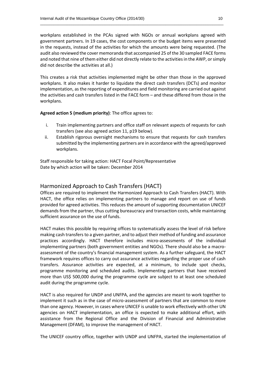workplans established in the PCAs signed with NGOs or annual workplans agreed with government partners. In 19 cases, the cost components or the budget items were presented in the requests, instead of the activities for which the amounts were being requested. (The audit also reviewed the cover memoranda that accompanied 25 of the 30 sampled FACE forms and noted that nine of them either did not directly relate to the activities in the AWP, or simply did not describe the activities at all.)

\_\_\_\_\_\_\_\_\_\_\_\_\_\_\_\_\_\_\_\_\_\_\_\_\_\_\_\_\_\_\_\_\_\_\_\_\_\_\_\_\_\_\_\_\_\_\_\_\_\_\_\_\_\_\_\_\_\_\_\_\_\_\_\_\_\_\_\_\_\_\_\_\_\_\_\_\_\_\_\_\_\_

This creates a risk that activities implemented might be other than those in the approved workplans. It also makes it harder to liquidate the direct cash transfers (DCTs) and monitor implementation, as the reporting of expenditures and field monitoring are carried out against the activities and cash transfers listed in the FACE form – and these differed from those in the workplans.

**Agreed action 5 (medium priority)**: The office agrees to:

- i. Train implementing partners and office staff on relevant aspects of requests for cash transfers (see also agreed action 11, p19 below).
- ii. Establish rigorous oversight mechanisms to ensure that requests for cash transfers submitted by the implementing partners are in accordance with the agreed/approved workplans.

Staff responsible for taking action: HACT Focal Point/Representative Date by which action will be taken: December 2014

#### Harmonized Approach to Cash Transfers (HACT)

Offices are required to implement the Harmonized Approach to Cash Transfers (HACT). With HACT, the office relies on implementing partners to manage and report on use of funds provided for agreed activities. This reduces the amount of supporting documentation UNICEF demands from the partner, thus cutting bureaucracy and transaction costs, while maintaining sufficient assurance on the use of funds.

HACT makes this possible by requiring offices to systematically assess the level of risk before making cash transfers to a given partner, and to adjust their method of funding and assurance practices accordingly. HACT therefore includes micro‐assessments of the individual implementing partners (both government entities and NGOs). There should also be a macroassessment of the country's financial management system. As a further safeguard, the HACT framework requires offices to carry out assurance activities regarding the proper use of cash transfers. Assurance activities are expected, at a minimum, to include spot checks, programme monitoring and scheduled audits. Implementing partners that have received more than US\$ 500,000 during the programme cycle are subject to at least one scheduled audit during the programme cycle.

HACT is also required for UNDP and UNFPA, and the agencies are meant to work together to implement it such as in the case of micro-assessment of partners that are common to more than one agency. However, in cases where UNICEF is unable to work effectively with other UN agencies on HACT implementation, an office is expected to make additional effort, with assistance from the Regional Office and the Division of Financial and Administrative Management (DFAM), to improve the management of HACT.

The UNICEF country office, together with UNDP and UNFPA, started the implementation of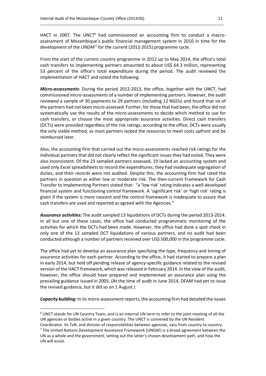HACT in 2007. The UNCT $<sup>6</sup>$  had commissioned an accounting firm to conduct a macro-</sup> assessment of Mozambique's public financial management system in 2010 in time for the development of the UNDAF<sup>7</sup> for the current (2012-2015) programme cycle.

\_\_\_\_\_\_\_\_\_\_\_\_\_\_\_\_\_\_\_\_\_\_\_\_\_\_\_\_\_\_\_\_\_\_\_\_\_\_\_\_\_\_\_\_\_\_\_\_\_\_\_\_\_\_\_\_\_\_\_\_\_\_\_\_\_\_\_\_\_\_\_\_\_\_\_\_\_\_\_\_\_\_

From the start of the current country programme in 2012 up to May 2014, the office's total cash transfers to implementing partners amounted to about US\$ 64.3 million, representing 53 percent of the office's total expenditure during the period. The audit reviewed the implementation of HACT and noted the following.

*Micro‐assessments*: During the period 2012-2013, the office, together with the UNCT, had commissioned micro-assessments of a number of implementing partners. However, the audit reviewed a sample of 30 payments to 29 partners (including 12 NGOs) and found that six of the partners had not been micro-assessed. Further, for those that had been, the office did not systematically use the results of the micro-assessments to decide which method to use for cash transfers, or choose the most appropriate assurance activities. Direct cash transfers (DCTs) were provided regardless of the risk ratings; according to the office, DCTs were usually the only viable method, as most partners lacked the resources to meet costs upfront and be reimbursed later.

Also, the accounting firm that carried out the micro-assessments reached risk ratings for the individual partners that did not clearly reflect the significant issues they had noted. They were also inconsistent. Of the 23 sampled partners assessed, 19 lacked an accounting system and used only Excel spreadsheets to record the expenditures; they had inadequate segregation of duties, and their records were not audited. Despite this, the accounting firm had rated the partners in question as either low or moderate risk. The then-current Framework for Cash Transfer to Implementing Partners stated that: "a 'low risk' rating indicates a well-developed financial system and functioning control framework. A 'significant risk' or 'high risk' rating is given if the system is more nascent and the control framework is inadequate to assure that cash transfers are used and reported as agreed with the Agencies."

*Assurance activities:* The audit sampled 13 liquidations of DCTs during the period 2013-2014. In all but one of these cases, the office had conducted programmatic monitoring of the activities for which the DCTs had been made. However, the office had done a spot check in only one of the 13 sampled DCT liquidations of various partners, and no audit had been conducted although a number of partners received over US\$ 500,000 in the programme cycle.

The office had yet to develop an assurance plan specifying the type, frequency and timing of assurance activities for each partner. According to the office, it had started to prepare a plan in early 2014, but held off pending release of agency-specific guidance related to the revised version of the HACT framework, which was released in February 2014. In the view of the audit, however, the office should have prepared and implemented an assurance plan using the prevailing guidance issued in 2005. (At the time of audit in June 2014, DFAM had yet to issue the revised guidance, but it did so on 1 August.)

*Capacity building:* In its micro-assessment reports, the accounting firm had detailed the issues

**.** 

<sup>6</sup> UNCT stands for UN Country Team, and is an internal UN term to refer to the joint meeting of all the UN agencies or bodies active in a given country. The UNCT is convened by the UN Resident

Coordinator. Its ToR, and division of responsibilities between agencies, vary from country to country. <sup>7</sup> The United Nations Development Assistance Framework (UNDAF) is a broad agreement between the UN as a whole and the government, setting out the latter's chosen development path, and how the UN will assist.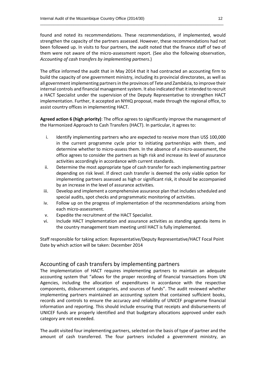found and noted its recommendations. These recommendations, if implemented, would strengthen the capacity of the partners assessed. However, these recommendations had not been followed up. In visits to four partners, the audit noted that the finance staff of two of them were not aware of the micro-assessment report. (See also the following observation, *Accounting of cash transfers by implementing partners*.)

\_\_\_\_\_\_\_\_\_\_\_\_\_\_\_\_\_\_\_\_\_\_\_\_\_\_\_\_\_\_\_\_\_\_\_\_\_\_\_\_\_\_\_\_\_\_\_\_\_\_\_\_\_\_\_\_\_\_\_\_\_\_\_\_\_\_\_\_\_\_\_\_\_\_\_\_\_\_\_\_\_\_

The office informed the audit that in May 2014 that it had contracted an accounting firm to build the capacity of one government ministry, including its provincial directorates, as well as all government implementing partners in the provinces of Tete and Zambézia, to improve their internal controls and financial management system. It also indicated that it intended to recruit a HACT Specialist under the supervision of the Deputy Representative to strengthen HACT implementation. Further, it accepted an NYHQ proposal, made through the regional office, to assist country offices in implementing HACT.

**Agreed action 6 (high priority)**: The office agrees to significantly improve the management of the Harmonized Approach to Cash Transfers (HACT). In particular, it agrees to:

- i. Identify implementing partners who are expected to receive more than US\$ 100,000 in the current programme cycle prior to initiating partnerships with them, and determine whether to micro-assess them. In the absence of a micro-assessment, the office agrees to consider the partners as high risk and increase its level of assurance activities accordingly in accordance with current standards.
- ii. Determine the most appropriate type of cash transfer for each implementing partner depending on risk level. If direct cash transfer is deemed the only viable option for implementing partners assessed as high or significant risk, it should be accompanied by an increase in the level of assurance activities.
- iii. Develop and implement a comprehensive assurance plan that includes scheduled and special audits, spot checks and programmatic monitoring of activities.
- iv. Follow up on the progress of implementation of the recommendations arising from each micro-assessment.
- v. Expedite the recruitment of the HACT Specialist.
- vi. Include HACT implementation and assurance activities as standing agenda items in the country management team meeting until HACT is fully implemented.

Staff responsible for taking action: Representative/Deputy Representative/HACT Focal Point Date by which action will be taken: December 2014

#### Accounting of cash transfers by implementing partners

The implementation of HACT requires implementing partners to maintain an adequate accounting system that "allows for the proper recording of financial transactions from UN Agencies, including the allocation of expenditures in accordance with the respective components, disbursement categories, and sources of funds". The audit reviewed whether implementing partners maintained an accounting system that contained sufficient books, records and controls to ensure the accuracy and reliability of UNICEF programme financial information and reporting. This should include ensuring that receipts and disbursements of UNICEF funds are properly identified and that budgetary allocations approved under each category are not exceeded.

The audit visited four implementing partners, selected on the basis of type of partner and the amount of cash transferred. The four partners included a government ministry, an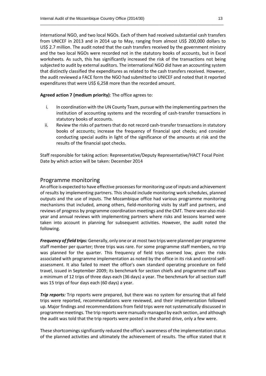international NGO, and two local NGOs. Each of them had received substantial cash transfers from UNICEF in 2013 and in 2014 up to May, ranging from almost US\$ 200,000 dollars to US\$ 2.7 million. The audit noted that the cash transfers received by the government ministry and the two local NGOs were recorded not in the statutory books of accounts, but in Excel worksheets. As such, this has significantly increased the risk of the transactions not being subjected to audit by external auditors. The international NGO did have an accounting system that distinctly classified the expenditures as related to the cash transfers received. However, the audit reviewed a FACE form the NGO had submitted to UNICEF and noted that it reported expenditures that were US\$ 6,258 more than the recorded amount.

\_\_\_\_\_\_\_\_\_\_\_\_\_\_\_\_\_\_\_\_\_\_\_\_\_\_\_\_\_\_\_\_\_\_\_\_\_\_\_\_\_\_\_\_\_\_\_\_\_\_\_\_\_\_\_\_\_\_\_\_\_\_\_\_\_\_\_\_\_\_\_\_\_\_\_\_\_\_\_\_\_\_

**Agreed action 7 (medium priority)**: The office agrees to:

- i. In coordination with the UN County Team, pursue with the implementing partners the institution of accounting systems and the recording of cash-transfer transactions in statutory books of accounts.
- ii. Review the risks of partners that do not record cash-transfer transactions in statutory books of accounts; increase the frequency of financial spot checks; and consider conducting special audits in light of the significance of the amounts at risk and the results of the financial spot checks.

Staff responsible for taking action: Representative/Deputy Representative/HACT Focal Point Date by which action will be taken: December 2014

#### Programme monitoring

An office is expected to have effective processes for monitoring use of inputs and achievement of results by implementing partners. This should include monitoring work schedules, planned outputs and the use of inputs. The Mozambique office had various programme monitoring mechanisms that included, among others, field-monitoring visits by staff and partners, and reviews of progress by programme coordination meetings and the CMT. There were also midyear and annual reviews with implementing partners where risks and lessons learned were taken into account in planning for subsequent activities. However, the audit noted the following.

*Frequency of field trips:* Generally, only one or at most two trips were planned per programme staff member per quarter; three trips was rare. For some programme staff members, no trip was planned for the quarter. This frequency of field trips seemed low, given the risks associated with programme implementation as noted by the office in its risk and control selfassessment. It also failed to meet the office's own standard operating procedure on field travel, issued in September 2009; its benchmark for section chiefs and programme staff was a minimum of 12 trips of three days each (36 days) a year. The benchmark for all section staff was 15 trips of four days each (60 days) a year.

*Trip reports:* Trip reports were prepared, but there was no system for ensuring that all field trips were reported, recommendations were reviewed, and their implementation followed up. Major findings and recommendations from field trips were not systematically discussed in programme meetings. The trip reports were manually managed by each section, and although the audit was told that the trip reports were posted in the shared drive, only a few were.

These shortcomings significantly reduced the office's awareness of the implementation status of the planned activities and ultimately the achievement of results. The office stated that it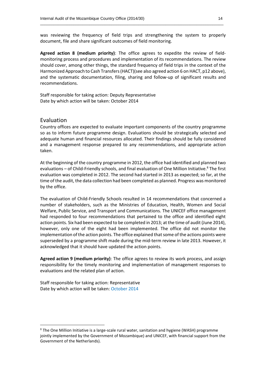was reviewing the frequency of field trips and strengthening the system to properly document, file and share significant outcomes of field monitoring.

\_\_\_\_\_\_\_\_\_\_\_\_\_\_\_\_\_\_\_\_\_\_\_\_\_\_\_\_\_\_\_\_\_\_\_\_\_\_\_\_\_\_\_\_\_\_\_\_\_\_\_\_\_\_\_\_\_\_\_\_\_\_\_\_\_\_\_\_\_\_\_\_\_\_\_\_\_\_\_\_\_\_

**Agreed action 8 (medium priority)**: The office agrees to expedite the review of fieldmonitoring process and procedures and implementation of its recommendations. The review should cover, among other things, the standard frequency of field trips in the context of the Harmonized Approach to Cash Transfers (HACT)(see also agreed action 6 on HACT, p12 above), and the systematic documentation, filing, sharing and follow-up of significant results and recommendations.

Staff responsible for taking action: Deputy Representative Date by which action will be taken: October 2014

#### Evaluation

**.** 

Country offices are expected to evaluate important components of the country programme so as to inform future programme design. Evaluations should be strategically selected and adequate human and financial resources allocated. Their findings should be fully considered and a management response prepared to any recommendations, and appropriate action taken.

At the beginning of the country programme in 2012, the office had identified and planned two evaluations – of Child-Friendly schools, and final evaluation of One Million Initiative.<sup>8</sup> The first evaluation was completed in 2012. The second had started in 2013 as expected; so far, at the time of the audit, the data collection had been completed as planned. Progress was monitored by the office.

The evaluation of Child-Friendly Schools resulted in 14 recommendations that concerned a number of stakeholders, such as the Ministries of Education, Health, Women and Social Welfare, Public Service, and Transport and Communications. The UNICEF office management had responded to four recommendations that pertained to the office and identified eight action points. Six had been expected to be completed in 2013; at the time of audit (June 2014), however, only one of the eight had been implemented. The office did not monitor the implementation of the action points. The office explained that some of the actions points were superseded by a programme shift made during the mid-term review in late 2013. However, it acknowledged that it should have updated the action points.

**Agreed action 9 (medium priority)**: The office agrees to review its work process, and assign responsibility for the timely monitoring and implementation of management responses to evaluations and the related plan of action.

Staff responsible for taking action: Representative Date by which action will be taken: October 2014

 $8$  The One Million Initiative is a large-scale rural water, sanitation and hygiene (WASH) programme jointly implemented by the Government of Mozambique) and UNICEF, with financial support from the Government of the Netherlands).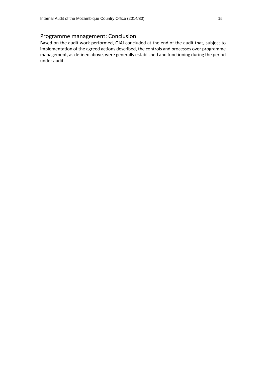#### Programme management: Conclusion

Based on the audit work performed, OIAI concluded at the end of the audit that, subject to implementation of the agreed actions described, the controls and processes over programme management, as defined above, were generally established and functioning during the period under audit.

\_\_\_\_\_\_\_\_\_\_\_\_\_\_\_\_\_\_\_\_\_\_\_\_\_\_\_\_\_\_\_\_\_\_\_\_\_\_\_\_\_\_\_\_\_\_\_\_\_\_\_\_\_\_\_\_\_\_\_\_\_\_\_\_\_\_\_\_\_\_\_\_\_\_\_\_\_\_\_\_\_\_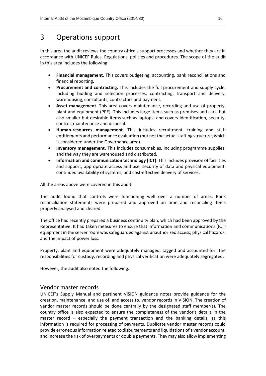### 3 Operations support

In this area the audit reviews the country office's support processes and whether they are in accordance with UNICEF Rules, Regulations, policies and procedures. The scope of the audit in this area includes the following:

\_\_\_\_\_\_\_\_\_\_\_\_\_\_\_\_\_\_\_\_\_\_\_\_\_\_\_\_\_\_\_\_\_\_\_\_\_\_\_\_\_\_\_\_\_\_\_\_\_\_\_\_\_\_\_\_\_\_\_\_\_\_\_\_\_\_\_\_\_\_\_\_\_\_\_\_\_\_\_\_\_\_

- **Financial management**. This covers budgeting, accounting, bank reconciliations and financial reporting.
- **Procurement and contracting.** This includes the full procurement and supply cycle, including bidding and selection processes, contracting, transport and delivery, warehousing, consultants, contractors and payment.
- **Asset management**. This area covers maintenance, recording and use of property, plant and equipment (PPE). This includes large items such as premises and cars, but also smaller but desirable items such as laptops; and covers identification, security, control, maintenance and disposal.
- **Human-resources management.** This includes recruitment, training and staff entitlements and performance evaluation (but not the actual staffing structure, which is considered under the Governance area).
- **Inventory management.** This includes consumables, including programme supplies, and the way they are warehoused and distributed.
- **Information and communication technology (ICT)**. This includes provision of facilities and support, appropriate access and use, security of data and physical equipment, continued availability of systems, and cost-effective delivery of services.

All the areas above were covered in this audit.

The audit found that controls were functioning well over a number of areas. Bank reconciliation statements were prepared and approved on time and reconciling items properly analysed and cleared.

The office had recently prepared a business continuity plan, which had been approved by the Representative. It had taken measures to ensure that information and communications (ICT) equipment in the server room was safeguarded against unauthorized access, physical hazards, and the impact of power loss.

Property, plant and equipment were adequately managed, tagged and accounted for. The responsibilities for custody, recording and physical verification were adequately segregated.

However, the audit also noted the following.

#### Vendor master records

UNICEF's Supply Manual and pertinent VISION guidance notes provide guidance for the creation, maintenance, and use of, and access to, vendor records in VISION. The creation of vendor master records should be done centrally by the designated staff member(s). The country office is also expected to ensure the completeness of the vendor's details in the master record – especially the payment transaction and the banking details, as this information is required for processing of payments. Duplicate vendor master records could provide erroneous information related to disbursements and liquidations of a vendor account, and increase the risk of overpayments or double payments. They may also allow implementing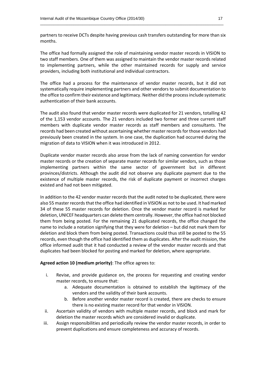partners to receive DCTs despite having previous cash transfers outstanding for more than six months.

\_\_\_\_\_\_\_\_\_\_\_\_\_\_\_\_\_\_\_\_\_\_\_\_\_\_\_\_\_\_\_\_\_\_\_\_\_\_\_\_\_\_\_\_\_\_\_\_\_\_\_\_\_\_\_\_\_\_\_\_\_\_\_\_\_\_\_\_\_\_\_\_\_\_\_\_\_\_\_\_\_\_

The office had formally assigned the role of maintaining vendor master records in VISION to two staff members. One of them was assigned to maintain the vendor master records related to implementing partners, while the other maintained records for supply and service providers, including both institutional and individual contractors.

The office had a process for the maintenance of vendor master records, but it did not systematically require implementing partners and other vendors to submit documentation to the office to confirm their existence and legitimacy. Neither did the process include systematic authentication of their bank accounts.

The audit also found that vendor master records were duplicated for 21 vendors, totalling 42 of the 1,153 vendor accounts. The 21 vendors included two former and three current staff members with duplicate vendor master records as staff members and consultants. The records had been created without ascertaining whether master records for those vendors had previously been created in the system. In one case, the duplication had occurred during the migration of data to VISION when it was introduced in 2012.

Duplicate vendor master records also arose from the lack of naming convention for vendor master records or the creation of separate master records for similar vendors, such as those implementing partners within the same sector of government but in different provinces/districts. Although the audit did not observe any duplicate payment due to the existence of multiple master records, the risk of duplicate payment or incorrect charges existed and had not been mitigated.

In addition to the 42 vendor master records that the audit noted to be duplicated, there were also 55 master records that the office had identified in VISION as not to be used. It had marked 34 of these 55 master records for deletion. Once the vendor master record is marked for deletion, UNICEF headquarters can delete them centrally. However, the office had not blocked them from being posted. For the remaining 21 duplicated records, the office changed the name to include a notation signifying that they were for deletion – but did not mark them for deletion and block them from being posted. Transactions could thus still be posted to the 55 records, even though the office had identified them as duplicates. After the audit mission, the office informed audit that it had conducted a review of the vendor master records and that duplicates had been blocked for posting and marked for deletion, where appropriate.

#### **Agreed action 10 (medium priority)**: The office agrees to:

- i. Revise, and provide guidance on, the process for requesting and creating vendor master records, to ensure that:
	- a. Adequate documentation is obtained to establish the legitimacy of the vendors and the validity of their bank accounts.
	- b. Before another vendor master record is created, there are checks to ensure there is no existing master record for that vendor in VISION.
- ii. Ascertain validity of vendors with multiple master records, and block and mark for deletion the master records which are considered invalid or duplicate.
- iii. Assign responsibilities and periodically review the vendor master records, in order to prevent duplications and ensure completeness and accuracy of records.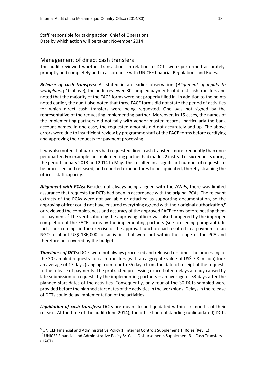Staff responsible for taking action: Chief of Operations Date by which action will be taken: November 2014

#### Management of direct cash transfers

The audit reviewed whether transactions in relation to DCTs were performed accurately, promptly and completely and in accordance with UNICEF financial Regulations and Rules.

\_\_\_\_\_\_\_\_\_\_\_\_\_\_\_\_\_\_\_\_\_\_\_\_\_\_\_\_\_\_\_\_\_\_\_\_\_\_\_\_\_\_\_\_\_\_\_\_\_\_\_\_\_\_\_\_\_\_\_\_\_\_\_\_\_\_\_\_\_\_\_\_\_\_\_\_\_\_\_\_\_\_

*Release of cash transfers:* As stated in an earlier observation (*Alignment of inputs to workplans*, p10 above), the audit reviewed 30 sampled payments of direct cash transfers and noted that the majority of the FACE forms were not properly filled in. In addition to the points noted earlier, the audit also noted that three FACE forms did not state the period of activities for which direct cash transfers were being requested. One was not signed by the representative of the requesting implementing partner. Moreover, in 15 cases, the names of the implementing partners did not tally with vendor master records, particularly the bank account names. In one case, the requested amounts did not accurately add up. The above errors were due to insufficient review by programme staff of the FACE forms before certifying and approving the requests for payment processing.

It was also noted that partners had requested direct cash transfers more frequently than once per quarter. For example, an implementing partner had made 22 instead of six requests during the period January 2013 and 2014 to May. This resulted in a significant number of requests to be processed and released, and reported expenditures to be liquidated, thereby straining the office's staff capacity.

*Alignment with PCAs:* Besides not always being aligned with the AWPs, there was limited assurance that requests for DCTs had been in accordance with the original PCAs. The relevant extracts of the PCAs were not available or attached as supporting documentation, so the approving officer could not have ensured everything agreed with their original authorization,<sup>9</sup> or reviewed the completeness and accuracy of the approved FACE forms before posting them for payment.<sup>10</sup> The verification by the approving officer was also hampered by the improper completion of the FACE forms by the implementing partners (see preceding paragraph). In fact, shortcomings in the exercise of the approval function had resulted in a payment to an NGO of about US\$ 186,000 for activities that were not within the scope of the PCA and therefore not covered by the budget.

*Timeliness of DCTs:* DCTs were not always processed and released on time. The processing of the 30 sampled requests for cash transfers (with an aggregate value of US\$ 7.8 million) took an average of 17 days (ranging from four to 55 days) from the date of receipt of the requests to the release of payments. The protracted processing exacerbated delays already caused by late submission of requests by the implementing partners – an average of 33 days after the planned start dates of the activities. Consequently, only four of the 30 DCTs sampled were provided before the planned start dates of the activities in the workplans. Delays in the release of DCTs could delay implementation of the activities.

*Liquidation of cash transfers:* DCTs are meant to be liquidated within six months of their release. At the time of the audit (June 2014), the office had outstanding (unliquidated) DCTs

**.** 

<sup>&</sup>lt;sup>9</sup> UNICEF Financial and Administrative Policy 1: Internal Controls Supplement 1: Roles (Rev. 1).

<sup>10</sup> UNICEF Financial and Administrative Policy 5: Cash Disbursements Supplement 3 – Cash Transfers (HACT).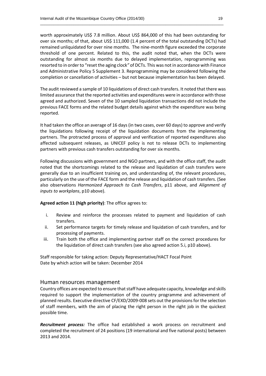worth approximately US\$ 7.8 million. About US\$ 864,000 of this had been outstanding for over six months; of that, about US\$ 111,000 (1.4 percent of the total outstanding DCTs) had remained unliquidated for over nine months. The nine-month figure exceeded the corporate threshold of one percent. Related to this, the audit noted that, when the DCTs were outstanding for almost six months due to delayed implementation, reprogramming was resorted to in order to "reset the aging clock*"* of DCTs. This was not in accordance with Finance and Administrative Policy 5 Supplement 3. Reprogramming may be considered following the completion or cancellation of activities – but not because implementation has been delayed.

\_\_\_\_\_\_\_\_\_\_\_\_\_\_\_\_\_\_\_\_\_\_\_\_\_\_\_\_\_\_\_\_\_\_\_\_\_\_\_\_\_\_\_\_\_\_\_\_\_\_\_\_\_\_\_\_\_\_\_\_\_\_\_\_\_\_\_\_\_\_\_\_\_\_\_\_\_\_\_\_\_\_

The audit reviewed a sample of 10 liquidations of direct cash transfers. It noted that there was limited assurance that the reported activities and expenditures were in accordance with those agreed and authorized. Seven of the 10 sampled liquidation transactions did not include the previous FACE forms and the related budget details against which the expenditure was being reported.

It had taken the office an average of 16 days (in two cases, over 60 days) to approve and verify the liquidations following receipt of the liquidation documents from the implementing partners. The protracted process of approval and verification of reported expenditures also affected subsequent releases, as UNICEF policy is not to release DCTs to implementing partners with previous cash transfers outstanding for over six months.

Following discussions with government and NGO partners, and with the office staff, the audit noted that the shortcomings related to the release and liquidation of cash transfers were generally due to an insufficient training on, and understanding of, the relevant procedures, particularly on the use of the FACE form and the release and liquidation of cash transfers. (See also observations *Harmonized Approach to Cash Transfers*, p11 above, and *Alignment of inputs to workplans*, p10 above).

#### **Agreed action 11 (high priority)**: The office agrees to:

- i. Review and reinforce the processes related to payment and liquidation of cash transfers.
- ii. Set performance targets for timely release and liquidation of cash transfers, and for processing of payments.
- iii. Train both the office and implementing partner staff on the correct procedures for the liquidation of direct cash transfers (see also agreed action 5.i, p10 above).

Staff responsible for taking action: Deputy Representative/HACT Focal Point Date by which action will be taken: December 2014

#### Human resources management

Country offices are expected to ensure that staff have adequate capacity, knowledge and skills required to support the implementation of the country programme and achievement of planned results. Executive directive CF/EXD/2009-008 sets out the provisions for the selection of staff members, with the aim of placing the right person in the right job in the quickest possible time.

*Recruitment process:* The office had established a work process on recruitment and completed the recruitment of 24 positions (19 international and five national posts) between 2013 and 2014.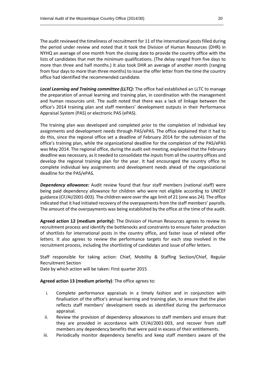The audit reviewed the timeliness of recruitment for 11 of the international posts filled during the period under review and noted that it took the Division of Human Resources (DHR) in NYHQ an average of one month from the closing date to provide the country office with the lists of candidates that met the minimum qualifications. (The delay ranged from five days to more than three and half months.) It also took DHR an average of another month (ranging from four days to more than three months) to issue the offer letter from the time the country office had identified the recommended candidate.

\_\_\_\_\_\_\_\_\_\_\_\_\_\_\_\_\_\_\_\_\_\_\_\_\_\_\_\_\_\_\_\_\_\_\_\_\_\_\_\_\_\_\_\_\_\_\_\_\_\_\_\_\_\_\_\_\_\_\_\_\_\_\_\_\_\_\_\_\_\_\_\_\_\_\_\_\_\_\_\_\_\_

*Local Learning and Training committee (LLTC):* The office had established an LLTC to manage the preparation of annual learning and training plan, in coordination with the management and human resources unit. The audit noted that there was a lack of linkage between the office's 2014 training plan and staff members' development outputs in their Performance Appraisal System (PAS) or electronic PAS (ePAS).

The training plan was developed and completed prior to the completion of individual key assignments and development needs through PAS/ePAS. The office explained that it had to do this, since the regional office set a deadline of February 2014 for the submission of the office's training plan, while the organizational deadline for the completion of the PAS/ePAS was May 2014. The regional office, during the audit exit meeting, explained that the February deadline was necessary, as it needed to consolidate the inputs from all the country offices and develop the regional training plan for the year. It had encouraged the country office to complete individual key assignments and development needs ahead of the organizational deadline for the PAS/ePAS.

*Dependency allowance:* Audit review found that four staff members (national staff) were being paid dependency allowance for children who were not eligible according to UNICEF guidance (CF/AI/2001-003). The children were over the age limit of 21 (one was 24). The office indicated that it had initiated recovery of the overpayments from the staff members' payrolls. The amount of the overpayments was being established by the office at the time of the audit.

**Agreed action 12 (medium priority)**: The Division of Human Resources agrees to review its recruitment process and identify the bottlenecks and constraints to ensure faster production of shortlists for international posts in the country office, and faster issue of related offer letters. It also agrees to review the performance targets for each step involved in the recruitment process, including the shortlisting of candidates and issue of offer letters.

Staff responsible for taking action: Chief, Mobility & Staffing Section/Chief, Regular Recruitment Section

Date by which action will be taken: First quarter 2015

#### **Agreed action 13 (medium priority)**: The office agrees to:

- i. Complete performance appraisals in a timely fashion and in conjunction with finalisation of the office's annual learning and training plan, to ensure that the plan reflects staff members' development needs as identified during the performance appraisal.
- ii. Review the provision of dependency allowances to staff members and ensure that they are provided in accordance with CF/AI/2001-003, and recover from staff members any dependency benefits that were paid in excess of their entitlements.
- iii. Periodically monitor dependency benefits and keep staff members aware of the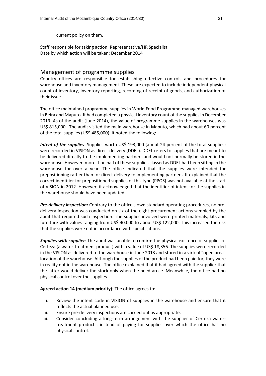current policy on them.

Staff responsible for taking action: Representative/HR Specialist Date by which action will be taken: December 2014

#### Management of programme supplies

Country offices are responsible for establishing effective controls and procedures for warehouse and inventory management. These are expected to include independent physical count of inventory, inventory reporting, recording of receipt of goods, and authorization of their issue.

\_\_\_\_\_\_\_\_\_\_\_\_\_\_\_\_\_\_\_\_\_\_\_\_\_\_\_\_\_\_\_\_\_\_\_\_\_\_\_\_\_\_\_\_\_\_\_\_\_\_\_\_\_\_\_\_\_\_\_\_\_\_\_\_\_\_\_\_\_\_\_\_\_\_\_\_\_\_\_\_\_\_

The office maintained programme supplies in World Food Programme-managed warehouses in Beira and Maputo. It had completed a physical inventory count of the supplies in December 2013. As of the audit (June 2014), the value of programme supplies in the warehouses was US\$ 815,000. The audit visited the main warehouse in Maputo, which had about 60 percent of the total supplies (US\$ 485,000). It noted the following:

*Intent of the supplies*: Supplies worth US\$ 193,000 (about 24 percent of the total supplies) were recorded in VISION as direct delivery (DDEL). DDEL refers to supplies that are meant to be delivered directly to the implementing partners and would not normally be stored in the warehouse. However, more than half of these supplies classed as DDEL had been sitting in the warehouse for over a year. The office indicated that the supplies were intended for prepositioning rather than for direct delivery to implementing partners. It explained that the correct identifier for prepositioned supplies of this type (PPOS) was not available at the start of VISION in 2012. However, it acknowledged that the identifier of intent for the supplies in the warehouse should have been updated.

*Pre-delivery inspection:* Contrary to the office's own standard operating procedures, no predelivery inspection was conducted on six of the eight procurement actions sampled by the audit that required such inspection. The supplies involved were printed materials, kits and furniture with values ranging from US\$ 40,000 to about US\$ 122,000. This increased the risk that the supplies were not in accordance with specifications.

*Supplies with supplier*: The audit was unable to confirm the physical existence of supplies of Certeza (a water-treatment product) with a value of US\$ 18,356. The supplies were recorded in the VISION as delivered to the warehouse in June 2013 and stored in a virtual "open area" location of the warehouse. Although the supplies of the product had been paid for, they were in reality not in the warehouse. The office explained that it had agreed with the supplier that the latter would deliver the stock only when the need arose. Meanwhile, the office had no physical control over the supplies.

**Agreed action 14 (medium priority)**: The office agrees to:

- i. Review the intent code in VISION of supplies in the warehouse and ensure that it reflects the actual planned use.
- ii. Ensure pre-delivery inspections are carried out as appropriate.
- iii. Consider concluding a long-term arrangement with the supplier of Certeza watertreatment products, instead of paying for supplies over which the office has no physical control.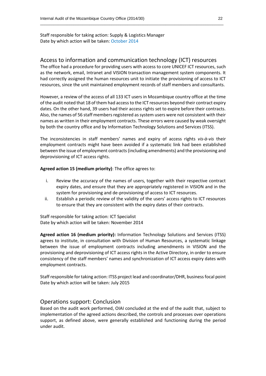Staff responsible for taking action: Supply & Logistics Manager Date by which action will be taken: October 2014

#### Access to information and communication technology (ICT) resources

\_\_\_\_\_\_\_\_\_\_\_\_\_\_\_\_\_\_\_\_\_\_\_\_\_\_\_\_\_\_\_\_\_\_\_\_\_\_\_\_\_\_\_\_\_\_\_\_\_\_\_\_\_\_\_\_\_\_\_\_\_\_\_\_\_\_\_\_\_\_\_\_\_\_\_\_\_\_\_\_\_\_

The office had a procedure for providing users with access to core UNICEF ICT resources, such as the network, email, Intranet and VISION transaction management system components. It had correctly assigned the human resources unit to initiate the provisioning of access to ICT resources, since the unit maintained employment records of staff members and consultants.

However, a review of the access of all 133 ICT users in Mozambique country office at the time of the audit noted that 18 of them had access to the ICT resources beyond their contract expiry dates. On the other hand, 39 users had their access rights set to expire before their contracts. Also, the names of 56 staff members registered as system users were not consistent with their names as written in their employment contracts. These errors were caused by weak oversight by both the country office and by Information Technology Solutions and Services (ITSS).

The inconsistencies in staff members' names and expiry of access rights *vis-à-vis* their employment contracts might have been avoided if a systematic link had been established between the issue of employment contracts (including amendments) and the provisioning and deprovisioning of ICT access rights.

**Agreed action 15 (medium priority)**: The office agrees to:

- i. Review the accuracy of the names of users, together with their respective contract expiry dates, and ensure that they are appropriately registered in VISION and in the system for provisioning and de-provisioning of access to ICT resources.
- ii. Establish a periodic review of the validity of the users' access rights to ICT resources to ensure that they are consistent with the expiry dates of their contracts.

Staff responsible for taking action: ICT Specialist Date by which action will be taken: November 2014

**Agreed action 16 (medium priority):** Information Technology Solutions and Services (ITSS) agrees to institute, in consultation with Division of Human Resources, a systematic linkage between the issue of employment contracts including amendments in VISION and the provisioning and deprovisioning of ICT access rights in the Active Directory, in order to ensure consistency of the staff members' names and synchronization of ICT access expiry dates with employment contracts.

Staff responsible for taking action: ITSS project lead and coordinator/DHR, businessfocal point Date by which action will be taken: July 2015

#### Operations support: Conclusion

Based on the audit work performed, OIAI concluded at the end of the audit that, subject to implementation of the agreed actions described, the controls and processes over operations support, as defined above, were generally established and functioning during the period under audit.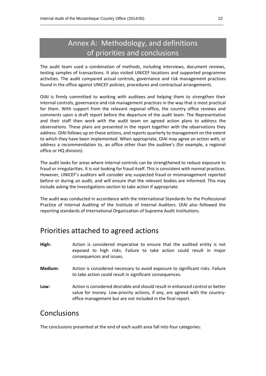# Annex A: Methodology, and definitions of priorities and conclusions

\_\_\_\_\_\_\_\_\_\_\_\_\_\_\_\_\_\_\_\_\_\_\_\_\_\_\_\_\_\_\_\_\_\_\_\_\_\_\_\_\_\_\_\_\_\_\_\_\_\_\_\_\_\_\_\_\_\_\_\_\_\_\_\_\_\_\_\_\_\_\_\_\_\_\_\_\_\_\_\_\_\_

The audit team used a combination of methods, including interviews, document reviews, testing samples of transactions. It also visited UNICEF locations and supported programme activities. The audit compared actual controls, governance and risk management practices found in the office against UNICEF policies, procedures and contractual arrangements.

OIAI is firmly committed to working with auditees and helping them to strengthen their internal controls, governance and risk management practices in the way that is most practical for them. With support from the relevant regional office, the country office reviews and comments upon a draft report before the departure of the audit team. The Representative and their staff then work with the audit team on agreed action plans to address the observations. These plans are presented in the report together with the observations they address. OIAI follows up on these actions, and reports quarterly to management on the extent to which they have been implemented. When appropriate, OIAI may agree an action with, or address a recommendation to, an office other than the auditee's (for example, a regional office or HQ division).

The audit looks for areas where internal controls can be strengthened to reduce exposure to fraud or irregularities. It is not looking for fraud itself. This is consistent with normal practices. However, UNICEF's auditors will consider any suspected fraud or mismanagement reported before or during an audit, and will ensure that the relevant bodies are informed. This may include asking the Investigations section to take action if appropriate.

The audit was conducted in accordance with the International Standards for the Professional Practice of Internal Auditing of the Institute of Internal Auditors. OIAI also followed the reporting standards of International Organization of Supreme Audit Institutions.

## Priorities attached to agreed actions

- **High:** Action is considered imperative to ensure that the audited entity is not exposed to high risks. Failure to take action could result in major consequences and issues.
- **Medium:** Action is considered necessary to avoid exposure to significant risks. Failure to take action could result in significant consequences.
- **Low:** Action is considered desirable and should result in enhanced control or better value for money. Low-priority actions, if any, are agreed with the countryoffice management but are not included in the final report.

### Conclusions

The conclusions presented at the end of each audit area fall into four categories: